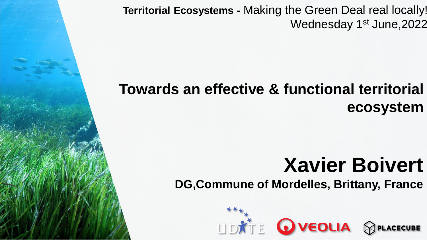**Territorial Ecosystems -** Making the Green Deal real locally! Wednesday 1<sup>st</sup> June, 2022

## **Towards an effective & functional territorial ecosystem**

# **Xavier Boivert**

**DG,Commune of Mordelles, Brittany, France**

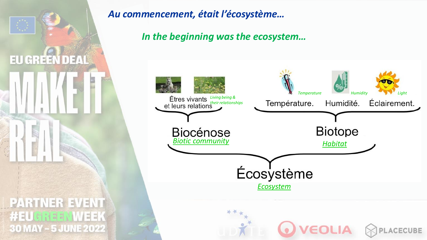

#### *Au commencement, était l'écosystème…*

*In the beginning was the ecosystem…*

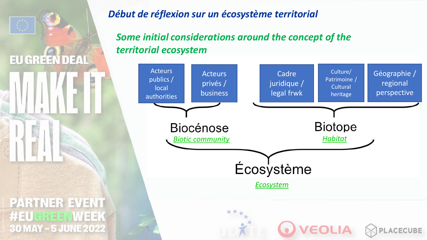

#### *Début de réflexion sur un écosystème territorial*

*Some initial considerations around the concept of the territorial ecosystem*

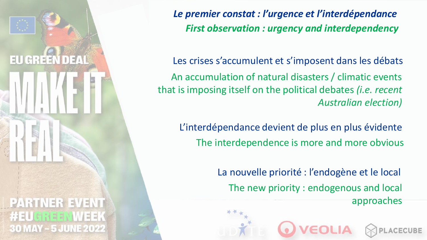

*First observation : urgency and interdependency Le premier constat : l'urgence et l'interdépendance*

An accumulation of natural disasters / climatic events that is imposing itself on the political debates *(i.e. recent Australian election)* Les crises s'accumulent et s'imposent dans les débats

The interdependence is more and more obvious L'interdépendance devient de plus en plus évidente

> The new priority : endogenous and local approaches La nouvelle priorité : l'endogène et le local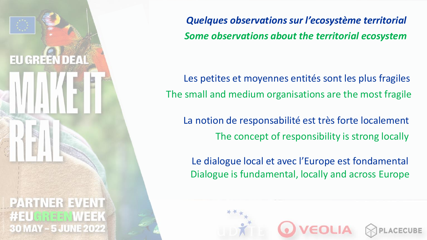

*Some observations about the territorial ecosystem Quelques observations sur l'ecosystème territorial*

The small and medium organisations are the most fragile Les petites et moyennes entités sont les plus fragiles

The concept of responsibility is strong locally La notion de responsabilité est très forte localement

Dialogue is fundamental, locally and across Europe Le dialogue local et avec l'Europe est fondamental